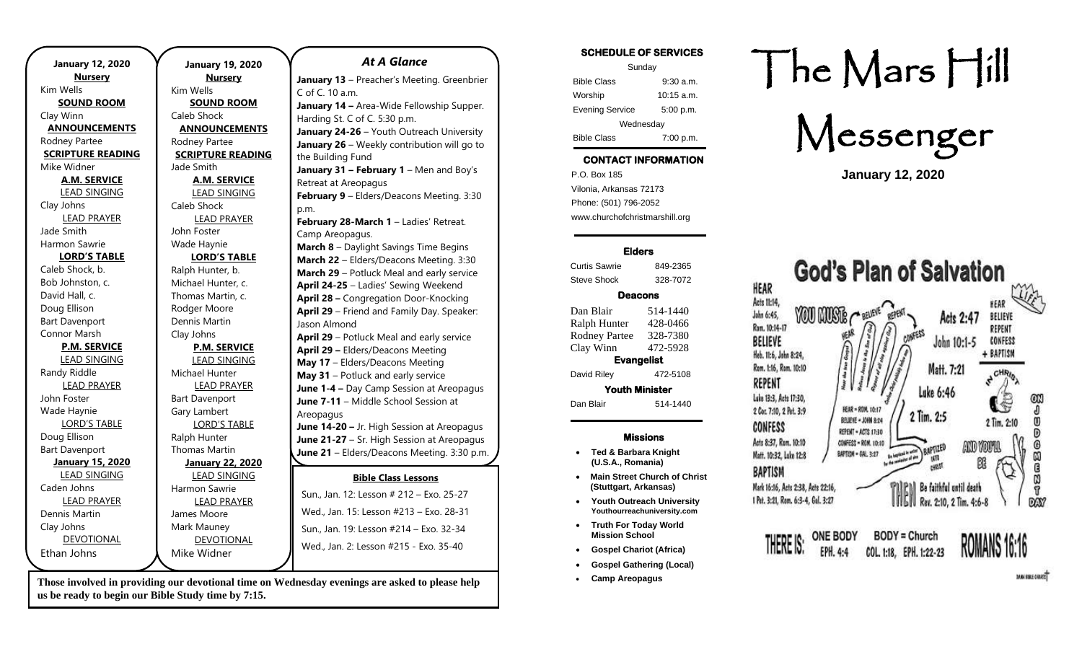| <b>January 12, 2020</b>  |                          |
|--------------------------|--------------------------|
| <b>Nursery</b>           |                          |
| Kim Wells                | k                        |
| <b>SOUND ROOM</b>        |                          |
| Clay Winn                | O                        |
| <b>ANNOUNCEMENTS</b>     |                          |
| Rodney Partee            | F                        |
| <b>SCRIPTURE READING</b> |                          |
| Mike Widner              | J                        |
| <b>A.M. SERVICE</b>      |                          |
| <b>LEAD SINGING</b>      |                          |
| Clay Johns               | (                        |
| <b>LEAD PRAYER</b>       |                          |
| Jade Smith               | J                        |
| Harmon Sawrie            |                          |
| <b>LORD'S TABLE</b>      |                          |
| Caleb Shock, b.          | F                        |
| Bob Johnston, c.         | Ν                        |
| David Hall, c.           | ٦                        |
| Doug Ellison             | F                        |
| <b>Bart Davenport</b>    | D                        |
| Connor Marsh             | $\overline{\mathcal{L}}$ |
| <b>P.M. SERVICE</b>      |                          |
| <b>LEAD SINGING</b>      |                          |
| Randy Riddle             | ľ                        |
| <b>LEAD PRAYER</b>       |                          |
| John Foster              | E                        |
| Wade Haynie              | O                        |
| <b>LORD'S TABLE</b>      |                          |
| Doug Ellison             | F                        |
| <b>Bart Davenport</b>    | ٦                        |
| <b>January 15, 2020</b>  |                          |
| <b>LEAD SINGING</b>      |                          |
| Caden Johns              | ŀ                        |
| <b>LEAD PRAYER</b>       |                          |
| Dennis Martin            | J                        |
| Clay Johns               | ľ                        |
| <b>DEVOTIONAL</b>        |                          |
| Ethan Johns              | ľ                        |
|                          |                          |

**January 19, 2020 Nursery** Kim Wells **SOUND ROOM** Caleb Shock **ANNOUNCEMENTS** Rodney Partee **SCRIPTURE READING** Jade Smith **A.M. SERVICE** LEAD SINGING Caleb Shock LEAD PRAYER John Foster Wade Haynie **LORD'S TABLE** Ralph Hunter, b. Michael Hunter, c. Thomas Martin, c. Rodger Moore Dennis Martin Clay Johns **P.M. SERVICE** LEAD SINGING Michael Hunter LEAD PRAYER Bart Davenport Gary Lambert LORD'S TABLE Ralph Hunter Thomas Martin **January 22, 2020** LEAD SINGING Harmon Sawrie LEAD PRAYER James Moore Mark Mauney DEVOTIONAL Mike Widner *At A Glance*  C of C. 10 a.m. the Building Fund p.m. Camp Areopagus. Jason Almond Areopagus **September 19** – Men's Breakfast

**Those involved in providing our devotional time on Wednesday evenings are asked to please help**  3:30 p.m. **us be ready to begin our Bible Study time by 7:15.**  p.m.

**Bible Class Lessons** Sun., Jan. 12: Lesson # 212 - Exo. 25-27 Wed., Jan. 15: Lesson #213 - Exo. 28-31 Sun., Jan. 19: Lesson #214 - Exo. 32-34 Wed., Jan. 2: Lesson #215 - Exo. 35-40 **January 13** – Preacher's Meeting. Greenbrier **January 14 –** Area-Wide Fellowship Supper. Harding St. C of C. 5:30 p.m. **January 24-26** – Youth Outreach University **January 26** – Weekly contribution will go to **January 31 – February 1** – Men and Boy's Retreat at Areopagus **February 9** – Elders/Deacons Meeting. 3:30 **February 28-March 1** – Ladies' Retreat. **March 8** – Daylight Savings Time Begins **March 22** – Elders/Deacons Meeting. 3:30 **March 29** – Potluck Meal and early service **April 24-25** – Ladies' Sewing Weekend **April 28 –** Congregation Door-Knocking **April 29** – Friend and Family Day. Speaker: **April 29** – Potluck Meal and early service **April 29 –** Elders/Deacons Meeting **May 17** – Elders/Deacons Meeting **May 31** – Potluck and early service **June 1-4 –** Day Camp Session at Areopagus **June 7-11** – Middle School Session at **June 14-20 –** Jr. High Session at Areopagus **June 21-27** – Sr. High Session at Areopagus **June 21** – Elders/Deacons Meeting. 3:30 p.m. **July 5-10** – Gospel Gathering, Robinson and **August 9 and Section** Metric Metric Metric Metric Metric Metric Metric Metric Metric Metric Metric Metric Metric Me<br> $\frac{1}{2}$ 

**September 20 –** Elders/Deacons Meeting.

### **SCHEDULE OF SERVICES**

| Sunday                 |              |  |
|------------------------|--------------|--|
| <b>Bible Class</b>     | $9:30$ a.m.  |  |
| Worship                | $10:15$ a.m. |  |
| <b>Evening Service</b> | 5:00 p.m.    |  |
| Wednesday              |              |  |
| <b>Bible Class</b>     | 7:00 p.m.    |  |

# **CONTACT INFORMATION**

. .o. Box 166<br>Vilonia, Arkansas 72173 P.O. Box 185 Phone: (501) 796-2052 www.churchofchristmarshill.org

### **Elders**

Curtis Sawrie 849-2365 Steve Shock 328-7072

### **Deacons**

Dan Blair 514-1440 Ralph Hunter 428-0466 Rodney Partee 328-7380 Clay Winn 472-5928 **Evangelist**  David Riley 472-5108 **Youth Minister**  Dan Blair 514-1440

### **Missions**

- **Ted & Barbara Knight (U.S.A., Romania)**
- **Main Street Church of Christ (Stuttgart, Arkansas)**
- **Youth Outreach University Youthourreachuniversity.com**
- **Truth For Today World Mission School**
- **Gospel Chariot (Africa)**
- **Gospel Gathering (Local)**
- **Camp Areopagus**

# The Mars Hill

Messenger

**January 12, 2020**